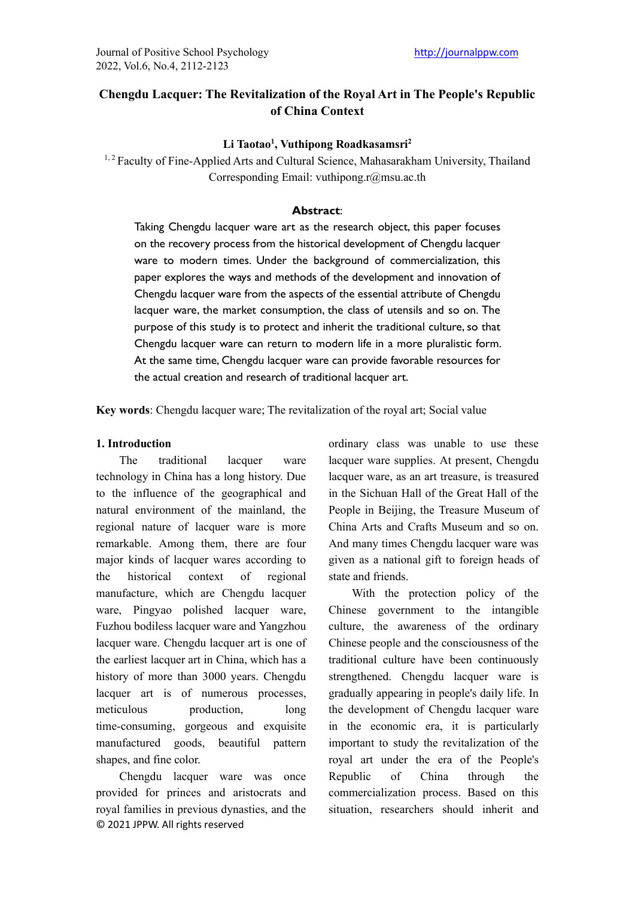# **Chengdu Lacquer: The Revitalization of the Royal Art in The People's Republic of China Context**

## **Li Taotao1 , Vuthipong Roadkasamsri2**

<sup>1, 2</sup> Faculty of Fine-Applied Arts and Cultural Science, Mahasarakham University, Thailand Corresponding Email: vuthipong.r@msu.ac.th

### **Abstract**:

Taking Chengdu lacquer ware art as the research object, this paper focuses on the recovery process from the historical development of Chengdu lacquer ware to modern times. Under the background of commercialization, this paper explores the ways and methods of the development and innovation of Chengdu lacquer ware from the aspects of the essential attribute of Chengdu lacquer ware, the market consumption, the class of utensils and so on. The purpose of this study is to protect and inherit the traditional culture, so that Chengdu lacquer ware can return to modern life in a more pluralistic form. At the same time, Chengdu lacquer ware can provide favorable resources for the actual creation and research of traditional lacquer art.

**Key words**: Chengdu lacquer ware; The revitalization of the royal art; Social value

### **1. Introduction**

The traditional lacquer ware technology in China has a long history. Due to the influence of the geographical and natural environment of the mainland, the regional nature of lacquer ware is more remarkable. Among them, there are four major kinds of lacquer wares according to the historical context of regional manufacture, which are Chengdu lacquer ware, Pingyao polished lacquer ware, Fuzhou bodiless lacquer ware and Yangzhou lacquer ware. Chengdu lacquer art is one of the earliest lacquer art in China, which has a history of more than 3000 years. Chengdu lacquer art is of numerous processes, meticulous production, long time-consuming, gorgeous and exquisite manufactured goods, beautiful pattern shapes, and fine color.

© 2021 JPPW. All rights reserved Chengdu lacquer ware was once provided for princes and aristocrats and royal families in previous dynasties, and the

ordinary class was unable to use these lacquer ware supplies. At present, Chengdu lacquer ware, as an art treasure, is treasured in the Sichuan Hall of the Great Hall of the People in Beijing, the Treasure Museum of China Arts and Crafts Museum and so on. And many times Chengdu lacquer ware was given as a national gift to foreign heads of state and friends.

With the protection policy of the Chinese government to the intangible culture, the awareness of the ordinary Chinese people and the consciousness of the traditional culture have been continuously strengthened. Chengdu lacquer ware is gradually appearing in people's daily life. In the development of Chengdu lacquer ware in the economic era, it is particularly important to study the revitalization of the royal art under the era of the People's Republic of China through the commercialization process. Based on this situation, researchers should inherit and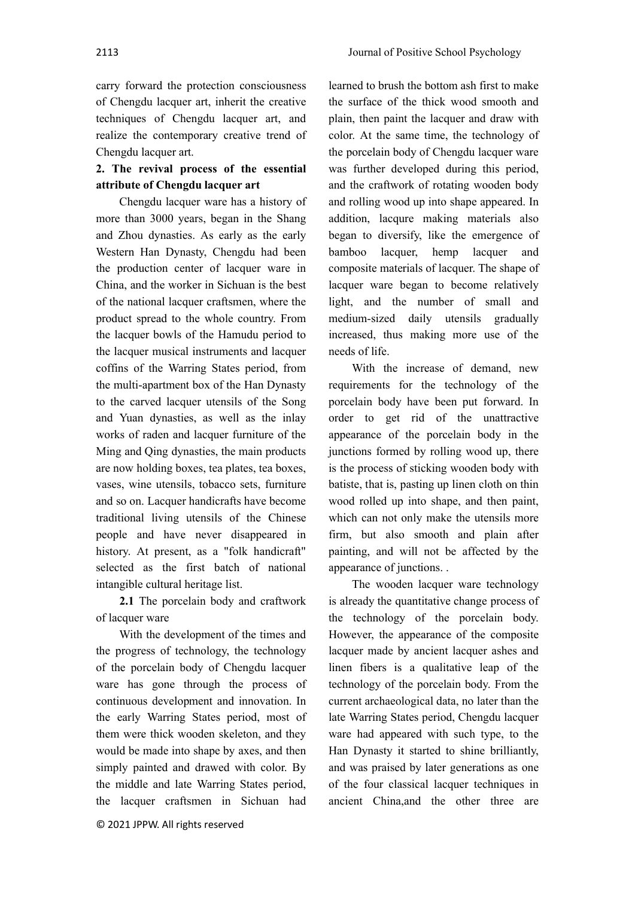carry forward the protection consciousness

of Chengdu lacquer art, inherit the creative techniques of Chengdu lacquer art, and realize the contemporary creative trend of Chengdu lacquer art.

# **2. The revival process of the essential attribute of Chengdu lacquer art**

Chengdu lacquer ware has a history of more than 3000 years, began in the Shang and Zhou dynasties. As early as the early Western Han Dynasty, Chengdu had been the production center of lacquer ware in China, and the worker in Sichuan is the best of the national lacquer craftsmen, where the product spread to the whole country. From the lacquer bowls of the Hamudu period to the lacquer musical instruments and lacquer coffins of the Warring States period, from the multi-apartment box of the Han Dynasty to the carved lacquer utensils of the Song and Yuan dynasties, as well as the inlay works of raden and lacquer furniture of the Ming and Qing dynasties, the main products are now holding boxes, tea plates, tea boxes, vases, wine utensils, tobacco sets, furniture and so on. Lacquer handicrafts have become traditional living utensils of the Chinese people and have never disappeared in history. At present, as a "folk handicraft" selected as the first batch of national intangible cultural heritage list.

**2.1** The porcelain body and craftwork of lacquer ware

With the development of the times and the progress of technology, the technology of the porcelain body of Chengdu lacquer ware has gone through the process of continuous development and innovation. In the early Warring States period, most of them were thick wooden skeleton, and they would be made into shape by axes, and then simply painted and drawed with color. By the middle and late Warring States period, the lacquer craftsmen in Sichuan had

learned to brush the bottom ash first to make the surface of the thick wood smooth and plain, then paint the lacquer and draw with color. At the same time, the technology of the porcelain body of Chengdu lacquer ware was further developed during this period, and the craftwork of rotating wooden body and rolling wood up into shape appeared. In addition, lacqure making materials also began to diversify, like the emergence of bamboo lacquer, hemp lacquer and composite materials of lacquer. The shape of lacquer ware began to become relatively light, and the number of small and medium-sized daily utensils gradually increased, thus making more use of the needs of life.

With the increase of demand, new requirements for the technology of the porcelain body have been put forward. In order to get rid of the unattractive appearance of the porcelain body in the junctions formed by rolling wood up, there is the process of sticking wooden body with batiste, that is, pasting up linen cloth on thin wood rolled up into shape, and then paint, which can not only make the utensils more firm, but also smooth and plain after painting, and will not be affected by the appearance of junctions. .

The wooden lacquer ware technology is already the quantitative change process of the technology of the porcelain body. However, the appearance of the composite lacquer made by ancient lacquer ashes and linen fibers is a qualitative leap of the technology of the porcelain body. From the current archaeological data, no later than the late Warring States period, Chengdu lacquer ware had appeared with such type, to the Han Dynasty it started to shine brilliantly, and was praised by later generations as one of the four classical lacquer techniques in ancient China,and the other three are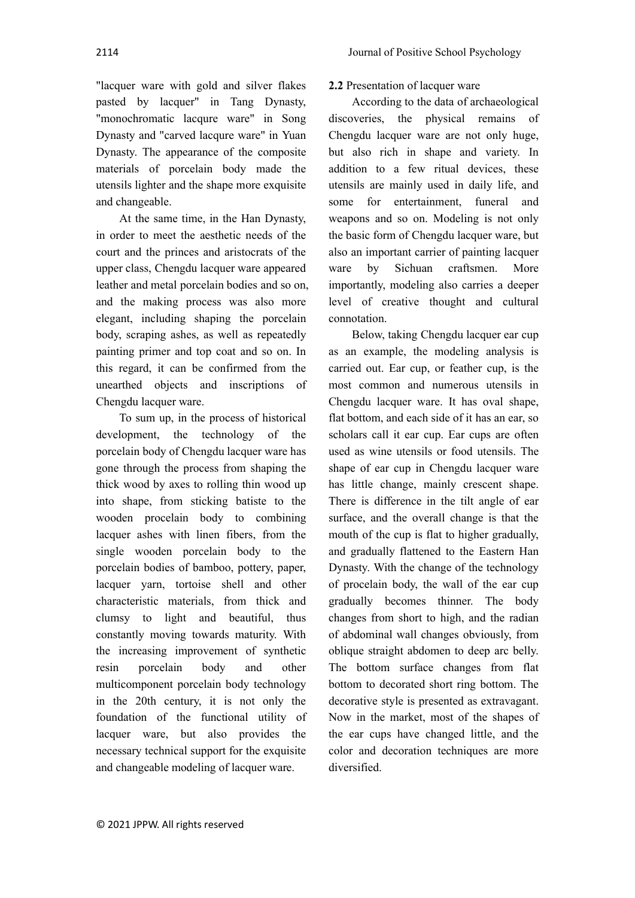"lacquer ware with gold and silver flakes pasted by lacquer" in Tang Dynasty, "monochromatic lacqure ware" in Song Dynasty and "carved lacqure ware" in Yuan Dynasty. The appearance of the composite materials of porcelain body made the utensils lighter and the shape more exquisite

and changeable. At the same time, in the Han Dynasty, in order to meet the aesthetic needs of the court and the princes and aristocrats of the upper class, Chengdu lacquer ware appeared leather and metal porcelain bodies and so on, and the making process was also more elegant, including shaping the porcelain body, scraping ashes, as well as repeatedly painting primer and top coat and so on. In this regard, it can be confirmed from the unearthed objects and inscriptions of Chengdu lacquer ware.

To sum up, in the process of historical development, the technology of the porcelain body of Chengdu lacquer ware has gone through the process from shaping the thick wood by axes to rolling thin wood up into shape, from sticking batiste to the wooden procelain body to combining lacquer ashes with linen fibers, from the single wooden porcelain body to the porcelain bodies of bamboo, pottery, paper, lacquer yarn, tortoise shell and other characteristic materials, from thick and clumsy to light and beautiful, thus constantly moving towards maturity. With the increasing improvement of synthetic resin porcelain body and other multicomponent porcelain body technology in the 20th century, it is not only the foundation of the functional utility of lacquer ware, but also provides the necessary technical support for the exquisite and changeable modeling of lacquer ware.

## **2.2** Presentation of lacquer ware

According to the data of archaeological discoveries, the physical remains of Chengdu lacquer ware are not only huge, but also rich in shape and variety. In addition to a few ritual devices, these utensils are mainly used in daily life, and some for entertainment, funeral and weapons and so on. Modeling is not only the basic form of Chengdu lacquer ware, but also an important carrier of painting lacquer ware by Sichuan craftsmen. More importantly, modeling also carries a deeper level of creative thought and cultural connotation.

Below, taking Chengdu lacquer ear cup as an example, the modeling analysis is carried out. Ear cup, or feather cup, is the most common and numerous utensils in Chengdu lacquer ware. It has oval shape, flat bottom, and each side of it has an ear, so scholars call it ear cup. Ear cups are often used as wine utensils or food utensils. The shape of ear cup in Chengdu lacquer ware has little change, mainly crescent shape. There is difference in the tilt angle of ear surface, and the overall change is that the mouth of the cup is flat to higher gradually, and gradually flattened to the Eastern Han Dynasty. With the change of the technology of procelain body, the wall of the ear cup gradually becomes thinner. The body changes from short to high, and the radian of abdominal wall changes obviously, from oblique straight abdomen to deep arc belly. The bottom surface changes from flat bottom to decorated short ring bottom. The decorative style is presented as extravagant. Now in the market, most of the shapes of the ear cups have changed little, and the color and decoration techniques are more diversified.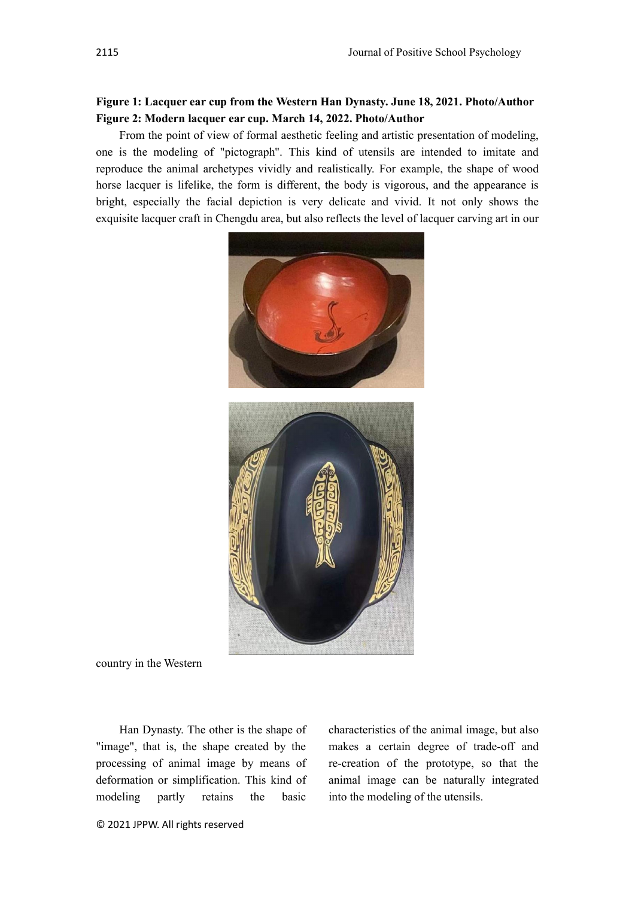# **Figure 1: Lacquer ear cup from the Western Han Dynasty. June 18, 2021. Photo/Author Figure 2: Modern lacquer ear cup. March 14, 2022. Photo/Author**

From the point of view of formal aesthetic feeling and artistic presentation of modeling, one is the modeling of "pictograph". This kind of utensils are intended to imitate and reproduce the animal archetypes vividly and realistically. For example, the shape of wood horse lacquer is lifelike, the form is different, the body is vigorous, and the appearance is bright, especially the facial depiction is very delicate and vivid. It not only shows the exquisite lacquer craft in Chengdu area, but also reflects the level of lacquer carving art in our



country in the Western

Han Dynasty. The other is the shape of "image", that is, the shape created by the processing of animal image by means of deformation or simplification. This kind of modeling partly retains the basic

characteristics of the animal image, but also makes a certain degree of trade-off and re-creation of the prototype, so that the animal image can be naturally integrated into the modeling of the utensils.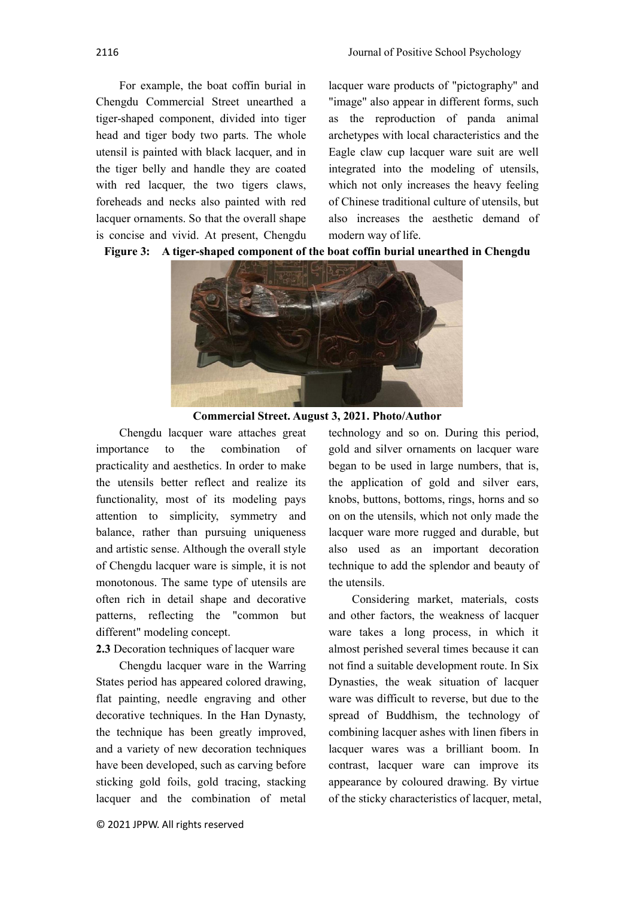For example, the boat coffin burial in Chengdu Commercial Street unearthed a tiger-shaped component, divided into tiger head and tiger body two parts. The whole utensil is painted with black lacquer, and in the tiger belly and handle they are coated with red lacquer, the two tigers claws, foreheads and necks also painted with red lacquer ornaments. So that the overall shape is concise and vivid. At present, Chengdu

lacquer ware products of "pictography" and "image" also appear in different forms, such as the reproduction of panda animal archetypes with local characteristics and the Eagle claw cup lacquer ware suit are well integrated into the modeling of utensils, which not only increases the heavy feeling of Chinese traditional culture of utensils, but also increases the aesthetic demand of modern way of life.





**Commercial Street. August 3, 2021. Photo/Author**

Chengdu lacquer ware attaches great importance to the combination of practicality and aesthetics. In order to make the utensils better reflect and realize its functionality, most of its modeling pays attention to simplicity, symmetry and balance, rather than pursuing uniqueness and artistic sense. Although the overall style of Chengdu lacquer ware is simple, it is not monotonous. The same type of utensils are often rich in detail shape and decorative patterns, reflecting the "common but different" modeling concept.

## **2.3** Decoration techniques of lacquer ware

Chengdu lacquer ware in the Warring States period has appeared colored drawing, flat painting, needle engraving and other decorative techniques. In the Han Dynasty, the technique has been greatly improved, and a variety of new decoration techniques have been developed, such as carving before sticking gold foils, gold tracing, stacking lacquer and the combination of metal

© 2021 JPPW. All rights reserved

technology and so on. During this period, gold and silver ornaments on lacquer ware began to be used in large numbers, that is, the application of gold and silver ears, knobs, buttons, bottoms, rings, horns and so on on the utensils, which not only made the lacquer ware more rugged and durable, but also used as an important decoration technique to add the splendor and beauty of the utensils.

Considering market, materials, costs and other factors, the weakness of lacquer ware takes a long process, in which it almost perished several times because it can not find a suitable development route. In Six Dynasties, the weak situation of lacquer ware was difficult to reverse, but due to the spread of Buddhism, the technology of combining lacquer ashes with linen fibers in lacquer wares was a brilliant boom. In contrast, lacquer ware can improve its appearance by coloured drawing. By virtue of the sticky characteristics of lacquer, metal,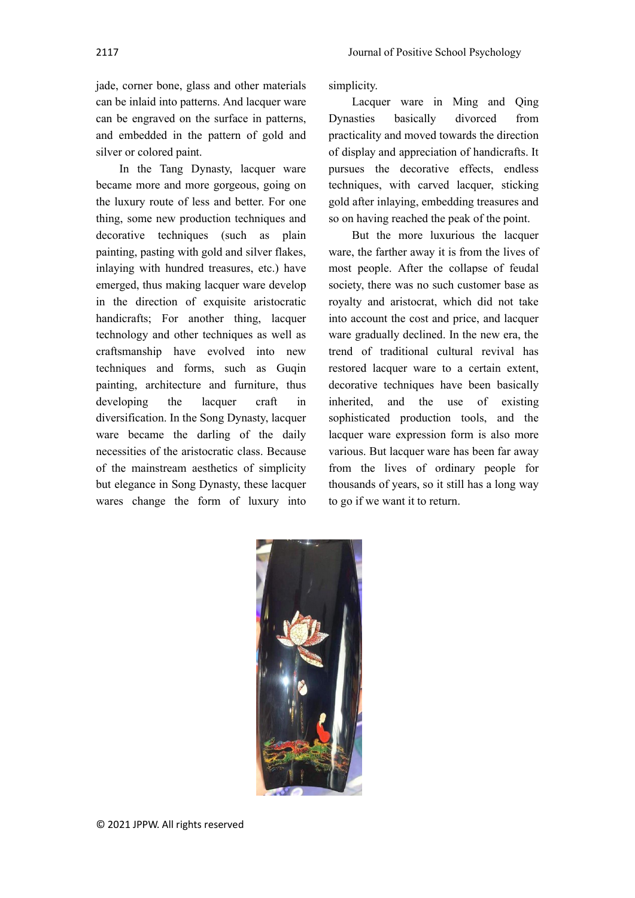jade, corner bone, glass and other materials can be inlaid into patterns. And lacquer ware can be engraved on the surface in patterns, and embedded in the pattern of gold and silver or colored paint.

In the Tang Dynasty, lacquer ware became more and more gorgeous, going on the luxury route of less and better. For one thing, some new production techniques and decorative techniques (such as plain painting, pasting with gold and silver flakes, inlaying with hundred treasures, etc.) have emerged, thus making lacquer ware develop in the direction of exquisite aristocratic handicrafts; For another thing, lacquer technology and other techniques as well as craftsmanship have evolved into new techniques and forms, such as Guqin painting, architecture and furniture, thus developing the lacquer craft in diversification. In the Song Dynasty, lacquer ware became the darling of the daily necessities of the aristocratic class. Because of the mainstream aesthetics of simplicity but elegance in Song Dynasty, these lacquer wares change the form of luxury into

simplicity.

Lacquer ware in Ming and Qing Dynasties basically divorced from practicality and moved towards the direction of display and appreciation of handicrafts. It pursues the decorative effects, endless techniques, with carved lacquer, sticking gold after inlaying, embedding treasures and so on having reached the peak of the point.

But the more luxurious the lacquer ware, the farther away it is from the lives of most people. After the collapse of feudal society, there was no such customer base as royalty and aristocrat, which did not take into account the cost and price, and lacquer ware gradually declined. In the new era, the trend of traditional cultural revival has restored lacquer ware to a certain extent, decorative techniques have been basically inherited, and the use of existing sophisticated production tools, and the lacquer ware expression form is also more various. But lacquer ware has been far away from the lives of ordinary people for thousands of years, so it still has a long way to go if we want it to return.

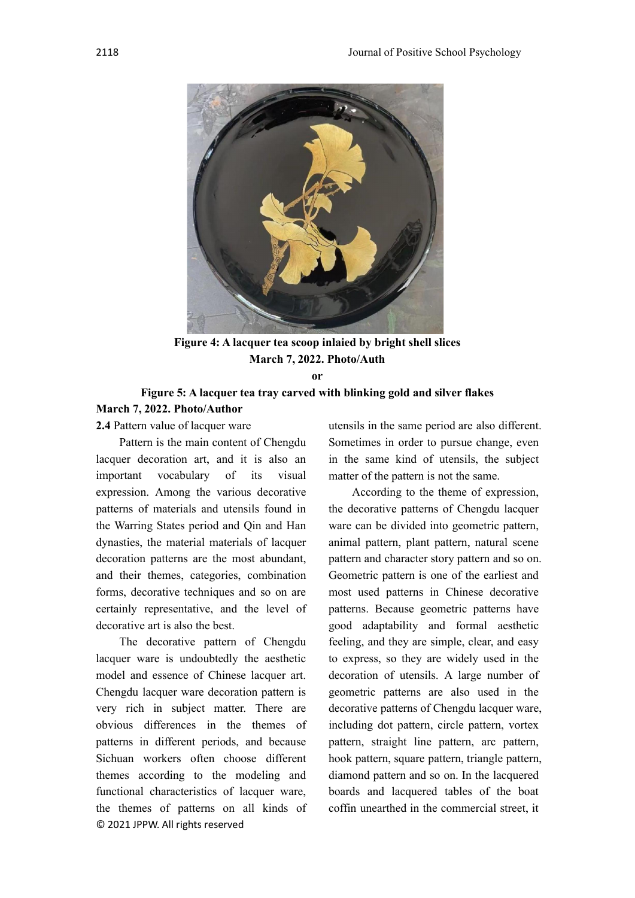

**Figure 4: A lacquer tea scoop inlaied by bright shell slices March 7, 2022. Photo/Auth**

**or**

# **Figure 5: A lacquer tea tray carved with blinking gold and silver flakes March 7, 2022. Photo/Author**

**2.4** Pattern value of lacquer ware

Pattern is the main content of Chengdu lacquer decoration art, and it is also an important vocabulary of its visual expression. Among the various decorative patterns of materials and utensils found in the Warring States period and Qin and Han dynasties, the material materials of lacquer decoration patterns are the most abundant, and their themes, categories, combination forms, decorative techniques and so on are certainly representative, and the level of decorative art is also the best.

© 2021 JPPW. All rights reserved The decorative pattern of Chengdu lacquer ware is undoubtedly the aesthetic model and essence of Chinese lacquer art. Chengdu lacquer ware decoration pattern is very rich in subject matter. There are obvious differences in the themes of patterns in different periods, and because Sichuan workers often choose different themes according to the modeling and functional characteristics of lacquer ware, the themes of patterns on all kinds of utensils in the same period are also different. Sometimes in order to pursue change, even in the same kind of utensils, the subject matter of the pattern is not the same.

According to the theme of expression, the decorative patterns of Chengdu lacquer ware can be divided into geometric pattern, animal pattern, plant pattern, natural scene pattern and character story pattern and so on. Geometric pattern is one of the earliest and most used patterns in Chinese decorative patterns. Because geometric patterns have good adaptability and formal aesthetic feeling, and they are simple, clear, and easy to express, so they are widely used in the decoration of utensils. A large number of geometric patterns are also used in the decorative patterns of Chengdu lacquer ware, including dot pattern, circle pattern, vortex pattern, straight line pattern, arc pattern, hook pattern, square pattern, triangle pattern, diamond pattern and so on. In the lacquered boards and lacquered tables of the boat coffin unearthed in the commercial street, it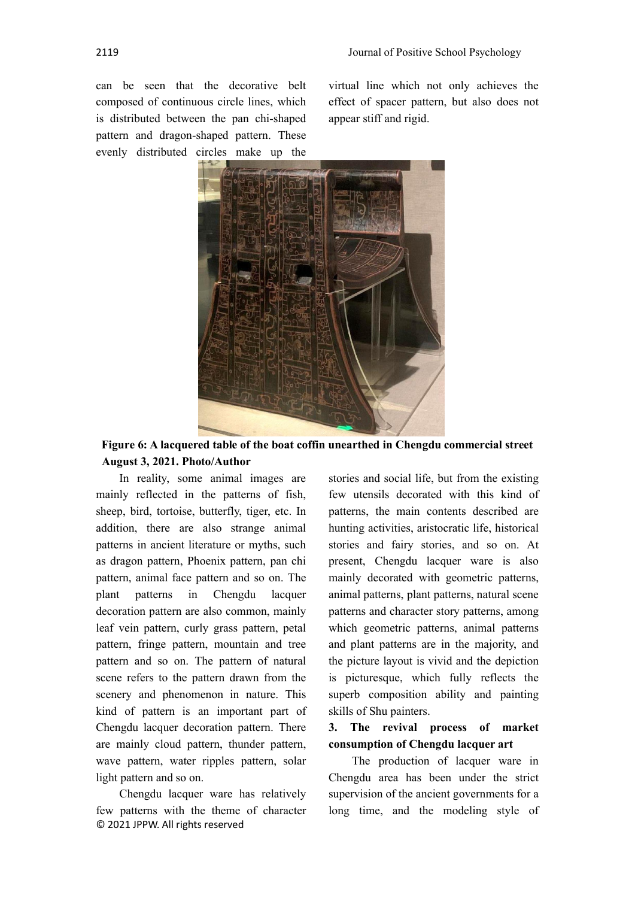can be seen that the decorative belt composed of continuous circle lines, which is distributed between the pan chi-shaped pattern and dragon-shaped pattern. These evenly distributed circles make up the virtual line which not only achieves the effect of spacer pattern, but also does not appear stiff and rigid.



**Figure 6: A lacquered table of the boat coffin unearthed in Chengdu commercial street August 3, 2021. Photo/Author**

In reality, some animal images are mainly reflected in the patterns of fish, sheep, bird, tortoise, butterfly, tiger, etc. In addition, there are also strange animal patterns in ancient literature or myths, such as dragon pattern, Phoenix pattern, pan chi pattern, animal face pattern and so on. The plant patterns in Chengdu lacquer decoration pattern are also common, mainly leaf vein pattern, curly grass pattern, petal pattern, fringe pattern, mountain and tree pattern and so on. The pattern of natural scene refers to the pattern drawn from the scenery and phenomenon in nature. This kind of pattern is an important part of Chengdu lacquer decoration pattern. There are mainly cloud pattern, thunder pattern, wave pattern, water ripples pattern, solar light pattern and so on.

© 2021 JPPW. All rights reserved Chengdu lacquer ware has relatively few patterns with the theme of character stories and social life, but from the existing few utensils decorated with this kind of patterns, the main contents described are hunting activities, aristocratic life, historical stories and fairy stories, and so on. At present, Chengdu lacquer ware is also mainly decorated with geometric patterns, animal patterns, plant patterns, natural scene patterns and character story patterns, among which geometric patterns, animal patterns and plant patterns are in the majority, and the picture layout is vivid and the depiction is picturesque, which fully reflects the superb composition ability and painting skills of Shu painters.

# **3. The revival process of market consumption of Chengdu lacquer art**

The production of lacquer ware in Chengdu area has been under the strict supervision of the ancient governments for a long time, and the modeling style of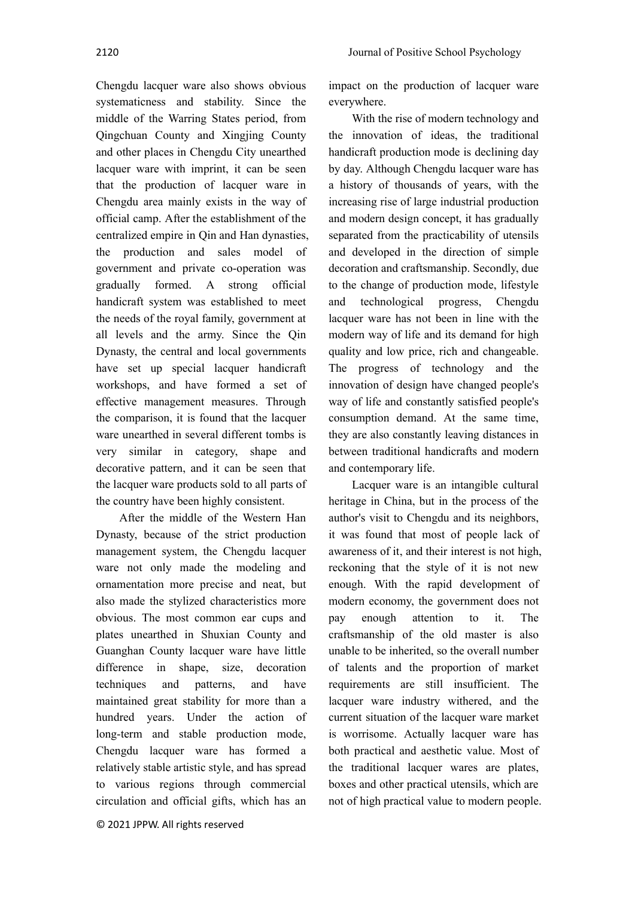Chengdu lacquer ware also shows obvious systematicness and stability. Since the middle of the Warring States period, from Qingchuan County and Xingjing County and other places in Chengdu City unearthed lacquer ware with imprint, it can be seen that the production of lacquer ware in Chengdu area mainly exists in the way of official camp. After the establishment of the centralized empire in Qin and Han dynasties, the production and sales model of government and private co-operation was gradually formed. A strong official handicraft system was established to meet the needs of the royal family, government at all levels and the army. Since the Qin Dynasty, the central and local governments have set up special lacquer handicraft workshops, and have formed a set of effective management measures. Through the comparison, it is found that the lacquer ware unearthed in several different tombs is very similar in category, shape and decorative pattern, and it can be seen that the lacquer ware products sold to all parts of the country have been highly consistent.

After the middle of the Western Han Dynasty, because of the strict production management system, the Chengdu lacquer ware not only made the modeling and ornamentation more precise and neat, but also made the stylized characteristics more obvious. The most common ear cups and plates unearthed in Shuxian County and Guanghan County lacquer ware have little difference in shape, size, decoration techniques and patterns, and have maintained great stability for more than a hundred years. Under the action of long-term and stable production mode, Chengdu lacquer ware has formed a relatively stable artistic style, and has spread to various regions through commercial circulation and official gifts, which has an impact on the production of lacquer ware everywhere.

With the rise of modern technology and the innovation of ideas, the traditional handicraft production mode is declining day by day. Although Chengdu lacquer ware has a history of thousands of years, with the increasing rise of large industrial production and modern design concept, it has gradually separated from the practicability of utensils and developed in the direction of simple decoration and craftsmanship. Secondly, due to the change of production mode, lifestyle and technological progress, Chengdu lacquer ware has not been in line with the modern way of life and its demand for high quality and low price, rich and changeable. The progress of technology and the innovation of design have changed people's way of life and constantly satisfied people's consumption demand. At the same time, they are also constantly leaving distances in between traditional handicrafts and modern and contemporary life.

Lacquer ware is an intangible cultural heritage in China, but in the process of the author's visit to Chengdu and its neighbors, it was found that most of people lack of awareness of it, and their interest is not high, reckoning that the style of it is not new enough. With the rapid development of modern economy, the government does not pay enough attention to it. The craftsmanship of the old master is also unable to be inherited, so the overall number of talents and the proportion of market requirements are still insufficient. The lacquer ware industry withered, and the current situation of the lacquer ware market is worrisome. Actually lacquer ware has both practical and aesthetic value. Most of the traditional lacquer wares are plates, boxes and other practical utensils, which are not of high practical value to modern people.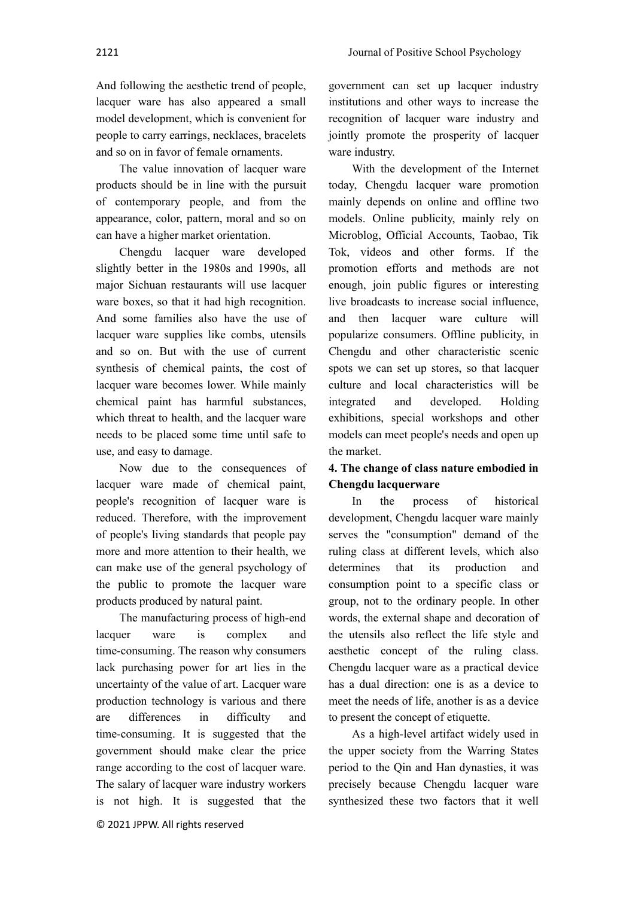And following the aesthetic trend of people, lacquer ware has also appeared a small model development, which is convenient for people to carry earrings, necklaces, bracelets and so on in favor of female ornaments.

The value innovation of lacquer ware products should be in line with the pursuit of contemporary people, and from the appearance, color, pattern, moral and so on can have a higher market orientation.

Chengdu lacquer ware developed slightly better in the 1980s and 1990s, all major Sichuan restaurants will use lacquer ware boxes, so that it had high recognition. And some families also have the use of lacquer ware supplies like combs, utensils and so on. But with the use of current synthesis of chemical paints, the cost of lacquer ware becomes lower. While mainly chemical paint has harmful substances, which threat to health, and the lacquer ware needs to be placed some time until safe to use, and easy to damage.

Now due to the consequences of lacquer ware made of chemical paint, people's recognition of lacquer ware is reduced. Therefore, with the improvement of people's living standards that people pay more and more attention to their health, we can make use of the general psychology of the public to promote the lacquer ware products produced by natural paint.

The manufacturing process of high-end lacquer ware is complex and time-consuming. The reason why consumers lack purchasing power for art lies in the uncertainty of the value of art. Lacquer ware production technology is various and there are differences in difficulty and time-consuming. It is suggested that the government should make clear the price range according to the cost of lacquer ware. The salary of lacquer ware industry workers is not high. It is suggested that the government can set up lacquer industry institutions and other ways to increase the recognition of lacquer ware industry and jointly promote the prosperity of lacquer ware industry.

With the development of the Internet today, Chengdu lacquer ware promotion mainly depends on online and offline two models. Online publicity, mainly rely on Microblog, Official Accounts, Taobao, Tik Tok, videos and other forms. If the promotion efforts and methods are not enough, join public figures or interesting live broadcasts to increase social influence, and then lacquer ware culture will popularize consumers. Offline publicity, in Chengdu and other characteristic scenic spots we can set up stores, so that lacquer culture and local characteristics will be integrated and developed. Holding exhibitions, special workshops and other models can meet people's needs and open up the market.

# **4. The change of class nature embodied in Chengdu lacquerware**

In the process of historical development, Chengdu lacquer ware mainly serves the "consumption" demand of the ruling class at different levels, which also determines that its production and consumption point to a specific class or group, not to the ordinary people. In other words, the external shape and decoration of the utensils also reflect the life style and aesthetic concept of the ruling class. Chengdu lacquer ware as a practical device has a dual direction: one is as a device to meet the needs of life, another is as a device to present the concept of etiquette.

As a high-level artifact widely used in the upper society from the Warring States period to the Qin and Han dynasties, it was precisely because Chengdu lacquer ware synthesized these two factors that it well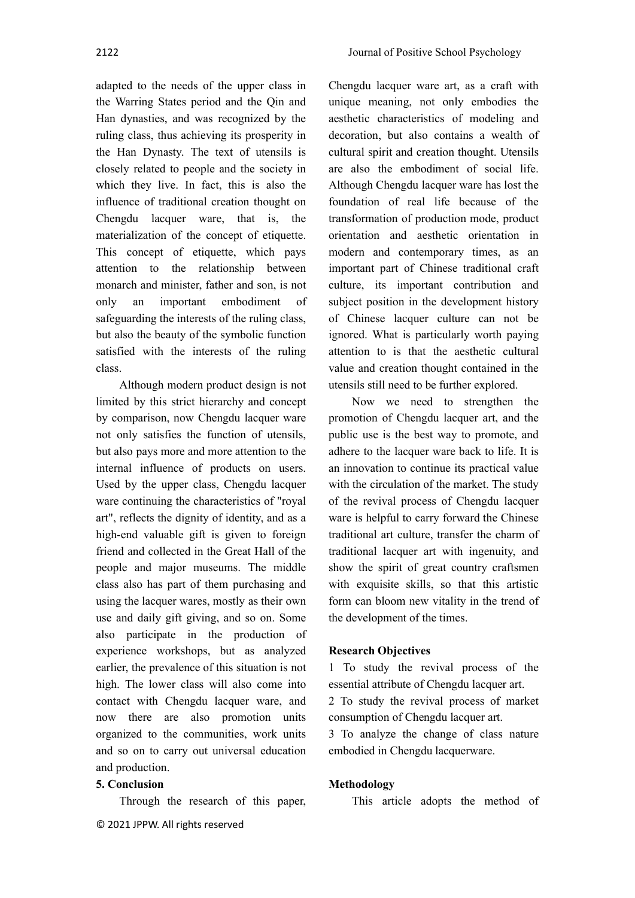adapted to the needs of the upper class in the Warring States period and the Qin and Han dynasties, and was recognized by the ruling class, thus achieving its prosperity in the Han Dynasty. The text of utensils is closely related to people and the society in which they live. In fact, this is also the influence of traditional creation thought on Chengdu lacquer ware, that is, the materialization of the concept of etiquette. This concept of etiquette, which pays attention to the relationship between monarch and minister, father and son, is not only an important embodiment of safeguarding the interests of the ruling class, but also the beauty of the symbolic function satisfied with the interests of the ruling class.

Although modern product design is not limited by this strict hierarchy and concept by comparison, now Chengdu lacquer ware not only satisfies the function of utensils, but also pays more and more attention to the internal influence of products on users. Used by the upper class, Chengdu lacquer ware continuing the characteristics of "royal art", reflects the dignity of identity, and as a high-end valuable gift is given to foreign friend and collected in the Great Hall of the people and major museums. The middle class also has part of them purchasing and using the lacquer wares, mostly as their own use and daily gift giving, and so on. Some also participate in the production of experience workshops, but as analyzed earlier, the prevalence of this situation is not high. The lower class will also come into contact with Chengdu lacquer ware, and now there are also promotion units organized to the communities, work units and so on to carry out universal education and production.

### **5. Conclusion**

Through the research of this paper,

© 2021 JPPW. All rights reserved

Chengdu lacquer ware art, as a craft with unique meaning, not only embodies the aesthetic characteristics of modeling and decoration, but also contains a wealth of cultural spirit and creation thought. Utensils are also the embodiment of social life. Although Chengdu lacquer ware has lost the foundation of real life because of the transformation of production mode, product orientation and aesthetic orientation in modern and contemporary times, as an important part of Chinese traditional craft culture, its important contribution and subject position in the development history of Chinese lacquer culture can not be ignored. What is particularly worth paying attention to is that the aesthetic cultural value and creation thought contained in the utensils still need to be further explored.

Now we need to strengthen the promotion of Chengdu lacquer art, and the public use is the best way to promote, and adhere to the lacquer ware back to life. It is an innovation to continue its practical value with the circulation of the market. The study of the revival process of Chengdu lacquer ware is helpful to carry forward the Chinese traditional art culture, transfer the charm of traditional lacquer art with ingenuity, and show the spirit of great country craftsmen with exquisite skills, so that this artistic form can bloom new vitality in the trend of the development of the times.

### **Research Objectives**

1 To study the revival process of the essential attribute of Chengdu lacquer art.

2 To study the revival process of market consumption of Chengdu lacquer art.

3 To analyze the change of class nature embodied in Chengdu lacquerware.

#### **Methodology**

This article adopts the method of